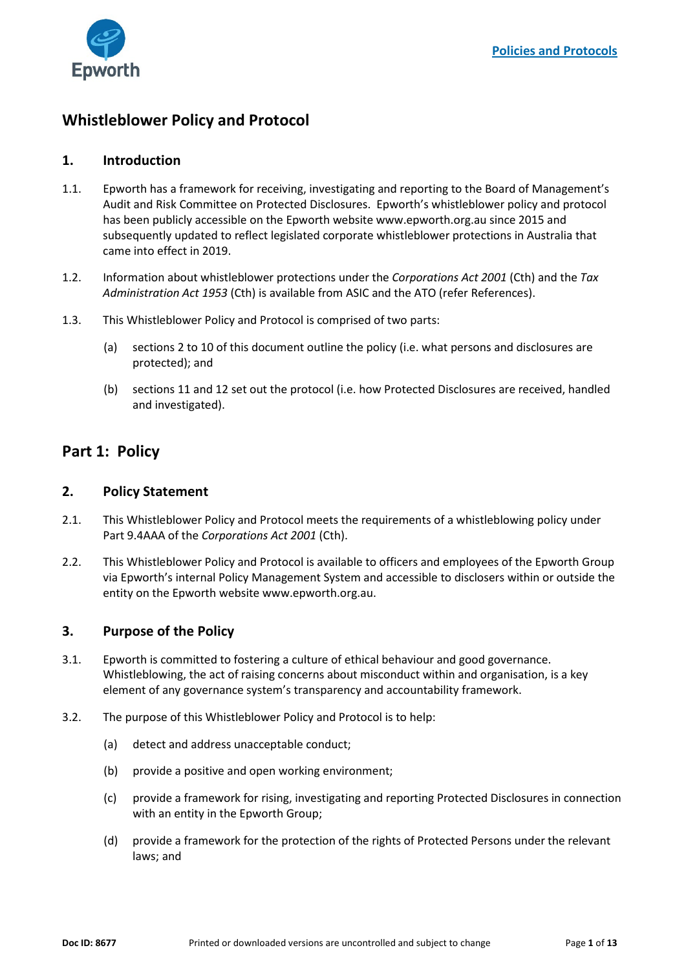

# **Whistleblower Policy and Protocol**

## **1. Introduction**

- 1.1. Epworth has a framework for receiving, investigating and reporting to the Board of Management's Audit and Risk Committee on Protected Disclosures. Epworth's whistleblower policy and protocol has been publicly accessible on the Epworth website www.epworth.org.au since 2015 and subsequently updated to reflect legislated corporate whistleblower protections in Australia that came into effect in 2019.
- 1.2. Information about whistleblower protections under the *Corporations Act 2001* (Cth) and the *Tax Administration Act 1953* (Cth) is available from ASIC and the ATO (refer References).
- 1.3. This Whistleblower Policy and Protocol is comprised of two parts:
	- (a) sections [2](#page-0-0) to [10](#page-6-0) of this document outline the policy (i.e. what persons and disclosures are protected); and
	- (b) sections [11](#page-7-0) and [12](#page-7-1) set out the protocol (i.e. how Protected Disclosures are received, handled and investigated).

# **Part 1: Policy**

## <span id="page-0-0"></span>**2. Policy Statement**

- 2.1. This Whistleblower Policy and Protocol meets the requirements of a whistleblowing policy under Part 9.4AAA of the *Corporations Act 2001* (Cth).
- 2.2. This Whistleblower Policy and Protocol is available to officers and employees of the Epworth Group via Epworth's internal Policy Management System and accessible to disclosers within or outside the entity on the Epworth website www.epworth.org.au.

# **3. Purpose of the Policy**

- 3.1. Epworth is committed to fostering a culture of ethical behaviour and good governance. Whistleblowing, the act of raising concerns about misconduct within and organisation, is a key element of any governance system's transparency and accountability framework.
- 3.2. The purpose of this Whistleblower Policy and Protocol is to help:
	- (a) detect and address unacceptable conduct;
	- (b) provide a positive and open working environment;
	- (c) provide a framework for rising, investigating and reporting Protected Disclosures in connection with an entity in the Epworth Group;
	- (d) provide a framework for the protection of the rights of Protected Persons under the relevant laws; and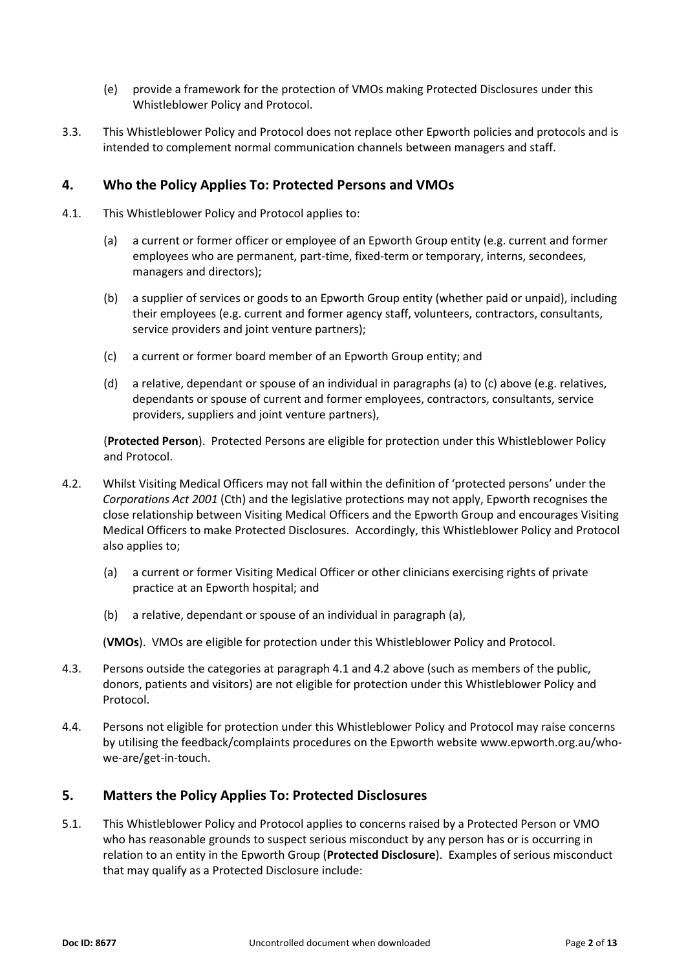- (e) provide a framework for the protection of VMOs making Protected Disclosures under this Whistleblower Policy and Protocol.
- 3.3. This Whistleblower Policy and Protocol does not replace other Epworth policies and protocols and is intended to complement normal communication channels between managers and staff.

## **4. Who the Policy Applies To: Protected Persons and VMOs**

- <span id="page-1-0"></span>4.1. This Whistleblower Policy and Protocol applies to:
	- (a) a current or former officer or employee of an Epworth Group entity (e.g. current and former employees who are permanent, part-time, fixed-term or temporary, interns, secondees, managers and directors);
	- (b) a supplier of services or goods to an Epworth Group entity (whether paid or unpaid), including their employees (e.g. current and former agency staff, volunteers, contractors, consultants, service providers and joint venture partners);
	- (c) a current or former board member of an Epworth Group entity; and
	- (d) a relative, dependant or spouse of an individual in paragraphs (a) to (c) above (e.g. relatives, dependants or spouse of current and former employees, contractors, consultants, service providers, suppliers and joint venture partners),

(**Protected Person**). Protected Persons are eligible for protection under this Whistleblower Policy and Protocol.

- 4.2. Whilst Visiting Medical Officers may not fall within the definition of 'protected persons' under the *Corporations Act 2001* (Cth) and the legislative protections may not apply, Epworth recognises the close relationship between Visiting Medical Officers and the Epworth Group and encourages Visiting Medical Officers to make Protected Disclosures. Accordingly, this Whistleblower Policy and Protocol also applies to;
	- (a) a current or former Visiting Medical Officer or other clinicians exercising rights of private practice at an Epworth hospital; and
	- (b) a relative, dependant or spouse of an individual in paragraph (a),

(**VMOs**). VMOs are eligible for protection under this Whistleblower Policy and Protocol.

- 4.3. Persons outside the categories at paragraph [4.1](#page-1-0) and 4.2 above (such as members of the public, donors, patients and visitors) are not eligible for protection under this Whistleblower Policy and Protocol.
- 4.4. Persons not eligible for protection under this Whistleblower Policy and Protocol may raise concerns by utilising the feedback/complaints procedures on the Epworth website www.epworth.org.au/whowe-are/get-in-touch.

# **5. Matters the Policy Applies To: Protected Disclosures**

<span id="page-1-1"></span>5.1. This Whistleblower Policy and Protocol applies to concerns raised by a Protected Person or VMO who has reasonable grounds to suspect serious misconduct by any person has or is occurring in relation to an entity in the Epworth Group (**Protected Disclosure**). Examples of serious misconduct that may qualify as a Protected Disclosure include: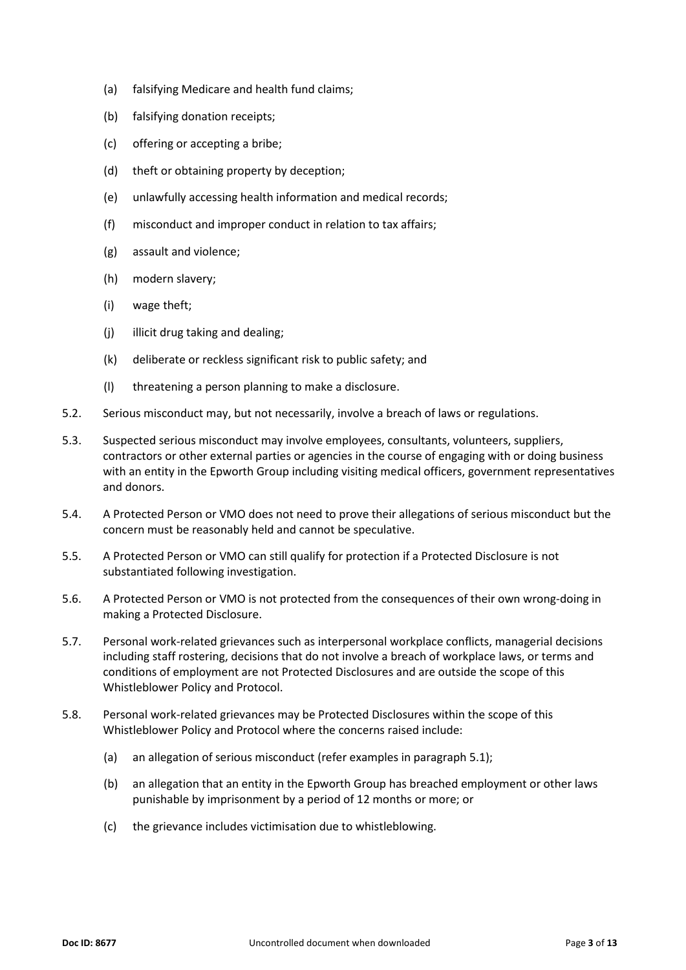- (a) falsifying Medicare and health fund claims;
- (b) falsifying donation receipts;
- (c) offering or accepting a bribe;
- (d) theft or obtaining property by deception;
- (e) unlawfully accessing health information and medical records;
- (f) misconduct and improper conduct in relation to tax affairs;
- (g) assault and violence;
- (h) modern slavery;
- (i) wage theft;
- (j) illicit drug taking and dealing;
- (k) deliberate or reckless significant risk to public safety; and
- (l) threatening a person planning to make a disclosure.
- 5.2. Serious misconduct may, but not necessarily, involve a breach of laws or regulations.
- 5.3. Suspected serious misconduct may involve employees, consultants, volunteers, suppliers, contractors or other external parties or agencies in the course of engaging with or doing business with an entity in the Epworth Group including visiting medical officers, government representatives and donors.
- 5.4. A Protected Person or VMO does not need to prove their allegations of serious misconduct but the concern must be reasonably held and cannot be speculative.
- 5.5. A Protected Person or VMO can still qualify for protection if a Protected Disclosure is not substantiated following investigation.
- 5.6. A Protected Person or VMO is not protected from the consequences of their own wrong-doing in making a Protected Disclosure.
- 5.7. Personal work-related grievances such as interpersonal workplace conflicts, managerial decisions including staff rostering, decisions that do not involve a breach of workplace laws, or terms and conditions of employment are not Protected Disclosures and are outside the scope of this Whistleblower Policy and Protocol.
- 5.8. Personal work-related grievances may be Protected Disclosures within the scope of this Whistleblower Policy and Protocol where the concerns raised include:
	- (a) an allegation of serious misconduct (refer examples in paragraph [5.1\)](#page-1-1);
	- (b) an allegation that an entity in the Epworth Group has breached employment or other laws punishable by imprisonment by a period of 12 months or more; or
	- (c) the grievance includes victimisation due to whistleblowing.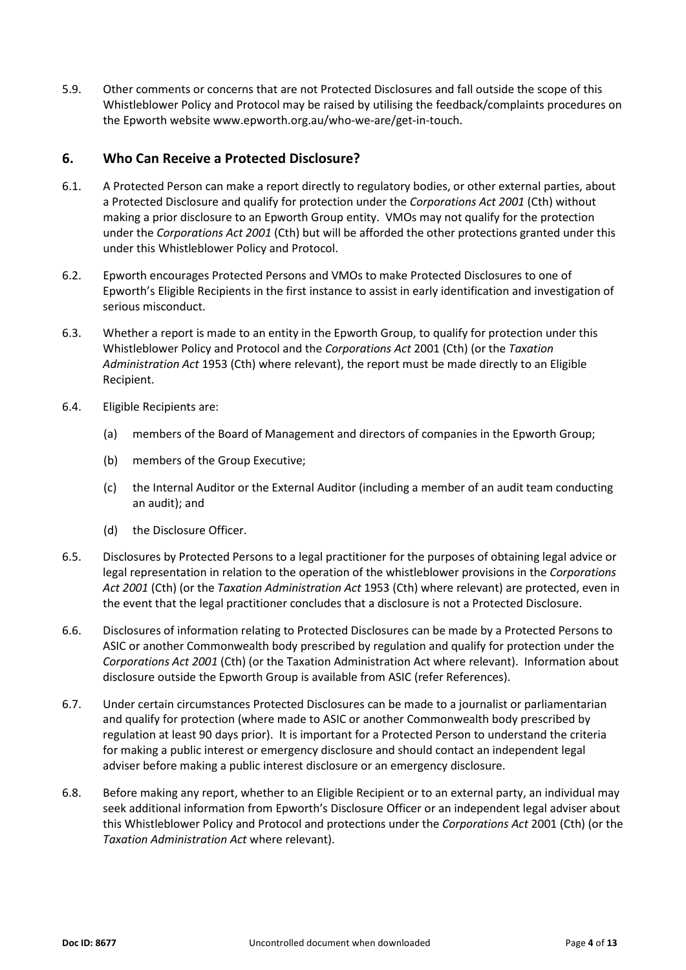5.9. Other comments or concerns that are not Protected Disclosures and fall outside the scope of this Whistleblower Policy and Protocol may be raised by utilising the feedback/complaints procedures on the Epworth website www.epworth.org.au/who-we-are/get-in-touch.

## **6. Who Can Receive a Protected Disclosure?**

- 6.1. A Protected Person can make a report directly to regulatory bodies, or other external parties, about a Protected Disclosure and qualify for protection under the *Corporations Act 2001* (Cth) without making a prior disclosure to an Epworth Group entity. VMOs may not qualify for the protection under the *Corporations Act 2001* (Cth) but will be afforded the other protections granted under this under this Whistleblower Policy and Protocol.
- 6.2. Epworth encourages Protected Persons and VMOs to make Protected Disclosures to one of Epworth's Eligible Recipients in the first instance to assist in early identification and investigation of serious misconduct.
- 6.3. Whether a report is made to an entity in the Epworth Group, to qualify for protection under this Whistleblower Policy and Protocol and the *Corporations Act* 2001 (Cth) (or the *Taxation Administration Act* 1953 (Cth) where relevant), the report must be made directly to an Eligible Recipient.
- <span id="page-3-0"></span>6.4. Eligible Recipients are:
	- (a) members of the Board of Management and directors of companies in the Epworth Group;
	- (b) members of the Group Executive;
	- (c) the Internal Auditor or the External Auditor (including a member of an audit team conducting an audit); and
	- (d) the Disclosure Officer.
- 6.5. Disclosures by Protected Persons to a legal practitioner for the purposes of obtaining legal advice or legal representation in relation to the operation of the whistleblower provisions in the *Corporations Act 2001* (Cth) (or the *Taxation Administration Act* 1953 (Cth) where relevant) are protected, even in the event that the legal practitioner concludes that a disclosure is not a Protected Disclosure.
- 6.6. Disclosures of information relating to Protected Disclosures can be made by a Protected Persons to ASIC or another Commonwealth body prescribed by regulation and qualify for protection under the *Corporations Act 2001* (Cth) (or the Taxation Administration Act where relevant). Information about disclosure outside the Epworth Group is available from ASIC (refer References).
- 6.7. Under certain circumstances Protected Disclosures can be made to a journalist or parliamentarian and qualify for protection (where made to ASIC or another Commonwealth body prescribed by regulation at least 90 days prior). It is important for a Protected Person to understand the criteria for making a public interest or emergency disclosure and should contact an independent legal adviser before making a public interest disclosure or an emergency disclosure.
- 6.8. Before making any report, whether to an Eligible Recipient or to an external party, an individual may seek additional information from Epworth's Disclosure Officer or an independent legal adviser about this Whistleblower Policy and Protocol and protections under the *Corporations Act* 2001 (Cth) (or the *Taxation Administration Act* where relevant).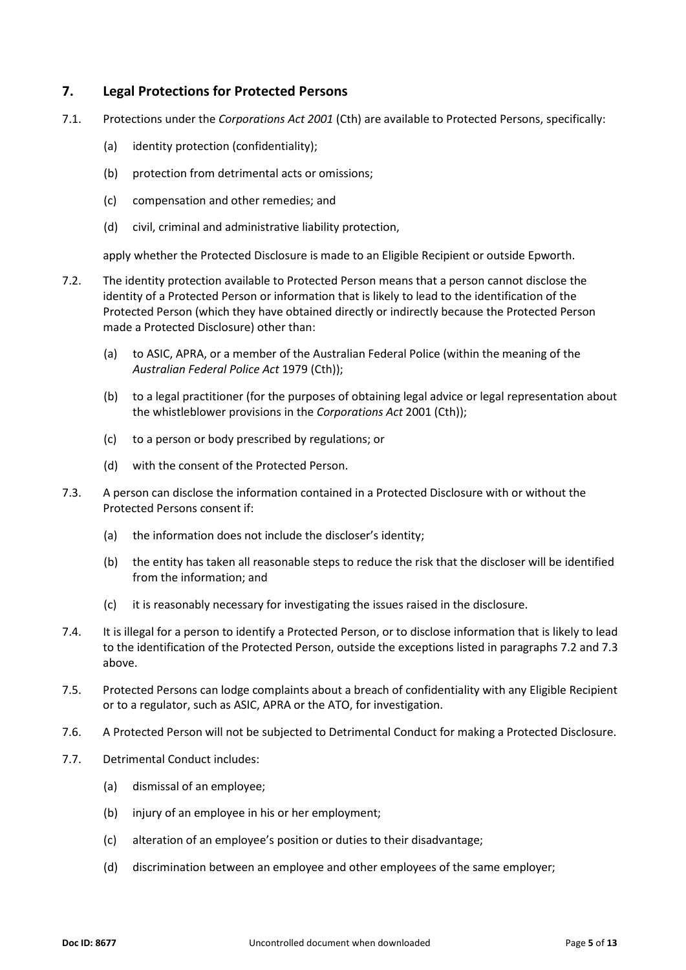## **7. Legal Protections for Protected Persons**

- 7.1. Protections under the *Corporations Act 2001* (Cth) are available to Protected Persons, specifically:
	- (a) identity protection (confidentiality);
	- (b) protection from detrimental acts or omissions;
	- (c) compensation and other remedies; and
	- (d) civil, criminal and administrative liability protection,

apply whether the Protected Disclosure is made to an Eligible Recipient or outside Epworth.

- <span id="page-4-0"></span>7.2. The identity protection available to Protected Person means that a person cannot disclose the identity of a Protected Person or information that is likely to lead to the identification of the Protected Person (which they have obtained directly or indirectly because the Protected Person made a Protected Disclosure) other than:
	- (a) to ASIC, APRA, or a member of the Australian Federal Police (within the meaning of the *Australian Federal Police Act* 1979 (Cth));
	- (b) to a legal practitioner (for the purposes of obtaining legal advice or legal representation about the whistleblower provisions in the *Corporations Act* 2001 (Cth));
	- (c) to a person or body prescribed by regulations; or
	- (d) with the consent of the Protected Person.
- <span id="page-4-1"></span>7.3. A person can disclose the information contained in a Protected Disclosure with or without the Protected Persons consent if:
	- (a) the information does not include the discloser's identity;
	- (b) the entity has taken all reasonable steps to reduce the risk that the discloser will be identified from the information; and
	- (c) it is reasonably necessary for investigating the issues raised in the disclosure.
- 7.4. It is illegal for a person to identify a Protected Person, or to disclose information that is likely to lead to the identification of the Protected Person, outside the exceptions listed in paragraphs [7.2](#page-4-0) an[d 7.3](#page-4-1) above.
- 7.5. Protected Persons can lodge complaints about a breach of confidentiality with any Eligible Recipient or to a regulator, such as ASIC, APRA or the ATO, for investigation.
- 7.6. A Protected Person will not be subjected to Detrimental Conduct for making a Protected Disclosure.
- <span id="page-4-2"></span>7.7. Detrimental Conduct includes:
	- (a) dismissal of an employee;
	- (b) injury of an employee in his or her employment;
	- (c) alteration of an employee's position or duties to their disadvantage;
	- (d) discrimination between an employee and other employees of the same employer;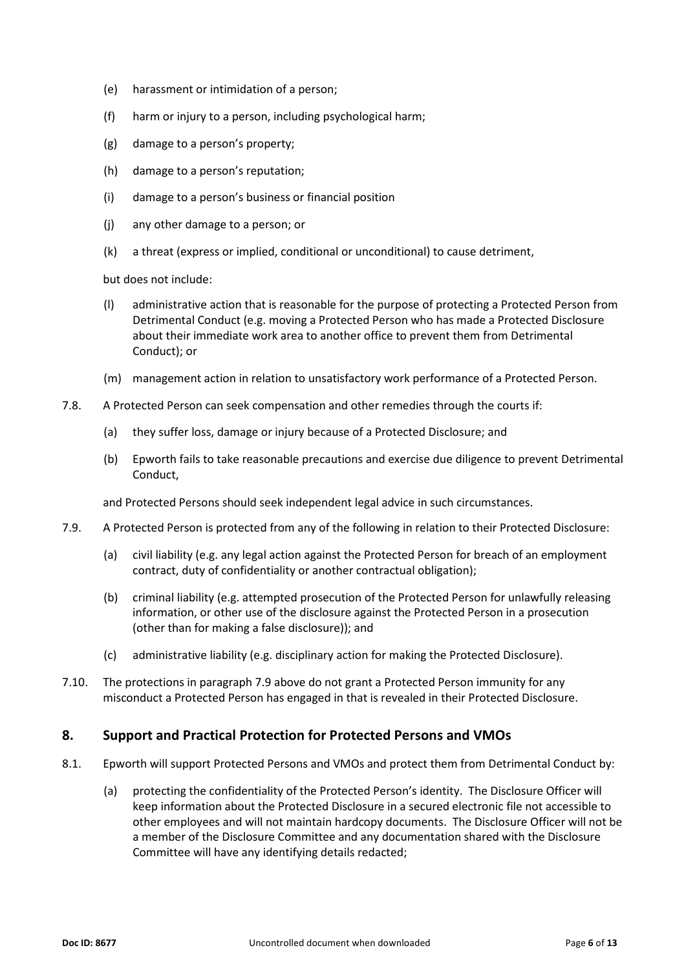- (e) harassment or intimidation of a person;
- (f) harm or injury to a person, including psychological harm;
- (g) damage to a person's property;
- (h) damage to a person's reputation;
- (i) damage to a person's business or financial position
- (j) any other damage to a person; or
- (k) a threat (express or implied, conditional or unconditional) to cause detriment,

but does not include:

- (l) administrative action that is reasonable for the purpose of protecting a Protected Person from Detrimental Conduct (e.g. moving a Protected Person who has made a Protected Disclosure about their immediate work area to another office to prevent them from Detrimental Conduct); or
- (m) management action in relation to unsatisfactory work performance of a Protected Person.
- 7.8. A Protected Person can seek compensation and other remedies through the courts if:
	- (a) they suffer loss, damage or injury because of a Protected Disclosure; and
	- (b) Epworth fails to take reasonable precautions and exercise due diligence to prevent Detrimental Conduct,

and Protected Persons should seek independent legal advice in such circumstances.

- <span id="page-5-0"></span>7.9. A Protected Person is protected from any of the following in relation to their Protected Disclosure:
	- (a) civil liability (e.g. any legal action against the Protected Person for breach of an employment contract, duty of confidentiality or another contractual obligation);
	- (b) criminal liability (e.g. attempted prosecution of the Protected Person for unlawfully releasing information, or other use of the disclosure against the Protected Person in a prosecution (other than for making a false disclosure)); and
	- (c) administrative liability (e.g. disciplinary action for making the Protected Disclosure).
- 7.10. The protections in paragrap[h 7.9](#page-5-0) above do not grant a Protected Person immunity for any misconduct a Protected Person has engaged in that is revealed in their Protected Disclosure.

## **8. Support and Practical Protection for Protected Persons and VMOs**

- 8.1. Epworth will support Protected Persons and VMOs and protect them from Detrimental Conduct by:
	- (a) protecting the confidentiality of the Protected Person's identity. The Disclosure Officer will keep information about the Protected Disclosure in a secured electronic file not accessible to other employees and will not maintain hardcopy documents. The Disclosure Officer will not be a member of the Disclosure Committee and any documentation shared with the Disclosure Committee will have any identifying details redacted;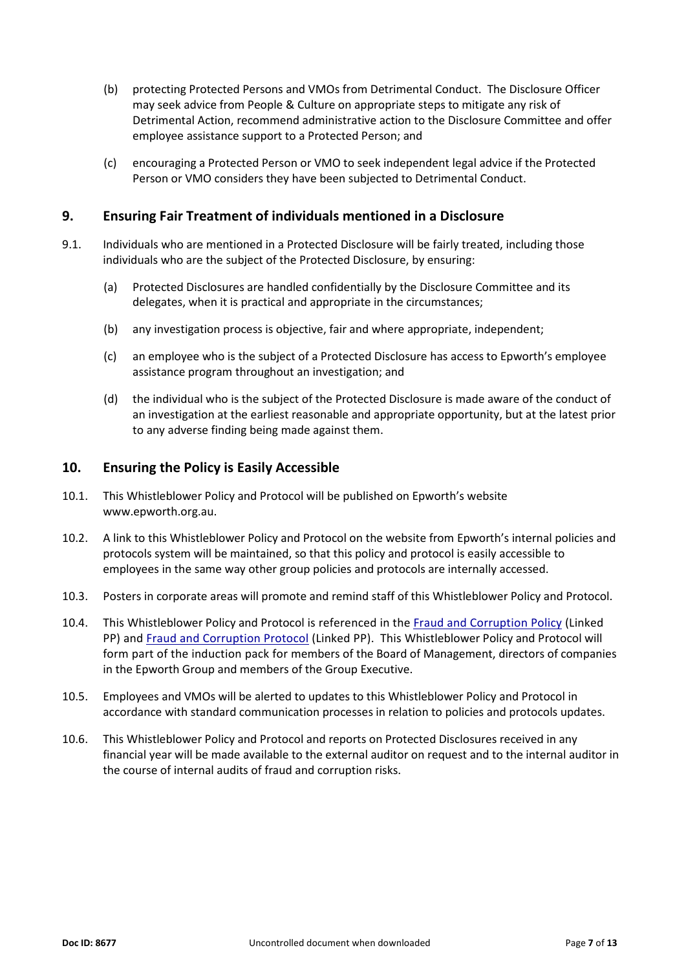- (b) protecting Protected Persons and VMOs from Detrimental Conduct. The Disclosure Officer may seek advice from People & Culture on appropriate steps to mitigate any risk of Detrimental Action, recommend administrative action to the Disclosure Committee and offer employee assistance support to a Protected Person; and
- (c) encouraging a Protected Person or VMO to seek independent legal advice if the Protected Person or VMO considers they have been subjected to Detrimental Conduct.

#### **9. Ensuring Fair Treatment of individuals mentioned in a Disclosure**

- 9.1. Individuals who are mentioned in a Protected Disclosure will be fairly treated, including those individuals who are the subject of the Protected Disclosure, by ensuring:
	- (a) Protected Disclosures are handled confidentially by the Disclosure Committee and its delegates, when it is practical and appropriate in the circumstances;
	- (b) any investigation process is objective, fair and where appropriate, independent;
	- (c) an employee who is the subject of a Protected Disclosure has access to Epworth's employee assistance program throughout an investigation; and
	- (d) the individual who is the subject of the Protected Disclosure is made aware of the conduct of an investigation at the earliest reasonable and appropriate opportunity, but at the latest prior to any adverse finding being made against them.

#### <span id="page-6-0"></span>**10. Ensuring the Policy is Easily Accessible**

- 10.1. This Whistleblower Policy and Protocol will be published on Epworth's website [www.epworth.org.au.](http://www.epworth.org.au/)
- 10.2. A link to this Whistleblower Policy and Protocol on the website from Epworth's internal policies and protocols system will be maintained, so that this policy and protocol is easily accessible to employees in the same way other group policies and protocols are internally accessed.
- 10.3. Posters in corporate areas will promote and remind staff of this Whistleblower Policy and Protocol.
- 10.4. This Whistleblower Policy and Protocol is referenced in the [Fraud and Corruption Policy](https://policies.epworth.org.au/Display.aspx?ID=8244255C5847495AA0710AF88A1DC8DA) (Linked PP) and [Fraud and Corruption Protocol](https://policies.epworth.org.au/Display.aspx?ID=4D76A67EC0944354A726144CA06D0E41) (Linked PP). This Whistleblower Policy and Protocol will form part of the induction pack for members of the Board of Management, directors of companies in the Epworth Group and members of the Group Executive.
- 10.5. Employees and VMOs will be alerted to updates to this Whistleblower Policy and Protocol in accordance with standard communication processes in relation to policies and protocols updates.
- 10.6. This Whistleblower Policy and Protocol and reports on Protected Disclosures received in any financial year will be made available to the external auditor on request and to the internal auditor in the course of internal audits of fraud and corruption risks.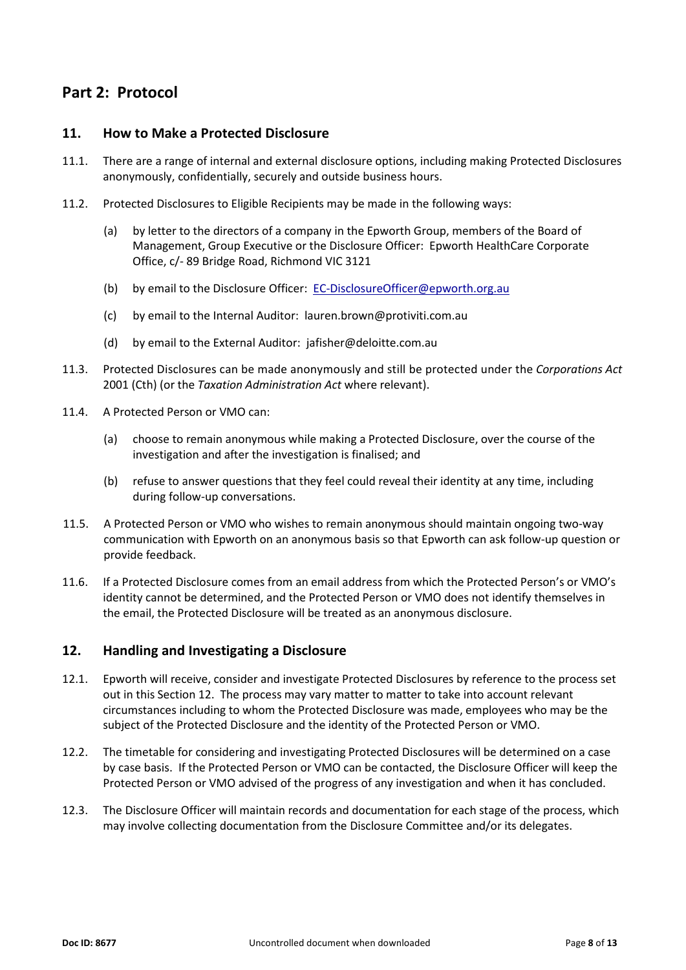# **Part 2: Protocol**

## <span id="page-7-0"></span>**11. How to Make a Protected Disclosure**

- 11.1. There are a range of internal and external disclosure options, including making Protected Disclosures anonymously, confidentially, securely and outside business hours.
- 11.2. Protected Disclosures to Eligible Recipients may be made in the following ways:
	- (a) by letter to the directors of a company in the Epworth Group, members of the Board of Management, Group Executive or the Disclosure Officer: Epworth HealthCare Corporate Office, c/- 89 Bridge Road, Richmond VIC 3121
	- (b) by email to the Disclosure Officer: [EC-DisclosureOfficer@epworth.org.au](mailto:EC-DisclosureOfficer@epworth.org.au)
	- (c) by email to the Internal Auditor: [lauren.brown@protiviti.com.au](mailto:lauren.brown@protiviti.com.au)
	- (d) by email to the External Auditor: [jafisher@deloitte.com.au](mailto:jafisher@deloitte.com.au)
- 11.3. Protected Disclosures can be made anonymously and still be protected under the *Corporations Act* 2001 (Cth) (or the *Taxation Administration Act* where relevant).
- 11.4. A Protected Person or VMO can:
	- (a) choose to remain anonymous while making a Protected Disclosure, over the course of the investigation and after the investigation is finalised; and
	- (b) refuse to answer questions that they feel could reveal their identity at any time, including during follow-up conversations.
- 11.5. A Protected Person or VMO who wishes to remain anonymous should maintain ongoing two-way communication with Epworth on an anonymous basis so that Epworth can ask follow-up question or provide feedback.
- 11.6. If a Protected Disclosure comes from an email address from which the Protected Person's or VMO's identity cannot be determined, and the Protected Person or VMO does not identify themselves in the email, the Protected Disclosure will be treated as an anonymous disclosure.

# <span id="page-7-1"></span>**12. Handling and Investigating a Disclosure**

- 12.1. Epworth will receive, consider and investigate Protected Disclosures by reference to the process set out in this Section [12.](#page-7-1) The process may vary matter to matter to take into account relevant circumstances including to whom the Protected Disclosure was made, employees who may be the subject of the Protected Disclosure and the identity of the Protected Person or VMO.
- 12.2. The timetable for considering and investigating Protected Disclosures will be determined on a case by case basis. If the Protected Person or VMO can be contacted, the Disclosure Officer will keep the Protected Person or VMO advised of the progress of any investigation and when it has concluded.
- 12.3. The Disclosure Officer will maintain records and documentation for each stage of the process, which may involve collecting documentation from the Disclosure Committee and/or its delegates.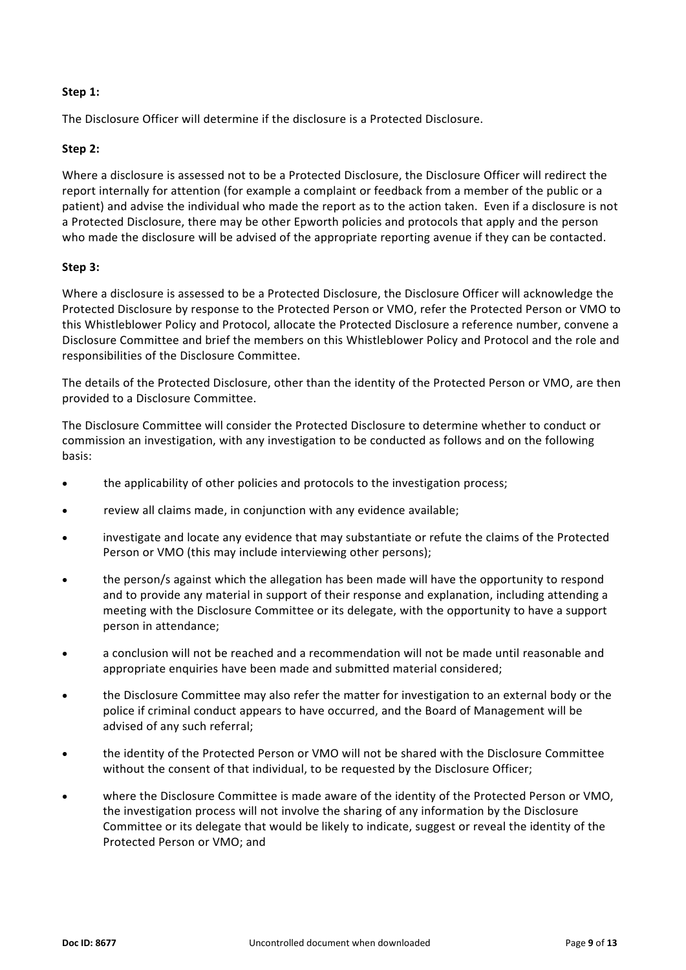#### **Step 1:**

The Disclosure Officer will determine if the disclosure is a Protected Disclosure.

#### **Step 2:**

Where a disclosure is assessed not to be a Protected Disclosure, the Disclosure Officer will redirect the report internally for attention (for example a complaint or feedback from a member of the public or a patient) and advise the individual who made the report as to the action taken. Even if a disclosure is not a Protected Disclosure, there may be other Epworth policies and protocols that apply and the person who made the disclosure will be advised of the appropriate reporting avenue if they can be contacted.

#### **Step 3:**

Where a disclosure is assessed to be a Protected Disclosure, the Disclosure Officer will acknowledge the Protected Disclosure by response to the Protected Person or VMO, refer the Protected Person or VMO to this Whistleblower Policy and Protocol, allocate the Protected Disclosure a reference number, convene a Disclosure Committee and brief the members on this Whistleblower Policy and Protocol and the role and responsibilities of the Disclosure Committee.

The details of the Protected Disclosure, other than the identity of the Protected Person or VMO, are then provided to a Disclosure Committee.

The Disclosure Committee will consider the Protected Disclosure to determine whether to conduct or commission an investigation, with any investigation to be conducted as follows and on the following basis:

- the applicability of other policies and protocols to the investigation process;
- review all claims made, in conjunction with any evidence available;
- investigate and locate any evidence that may substantiate or refute the claims of the Protected Person or VMO (this may include interviewing other persons);
- the person/s against which the allegation has been made will have the opportunity to respond and to provide any material in support of their response and explanation, including attending a meeting with the Disclosure Committee or its delegate, with the opportunity to have a support person in attendance;
- a conclusion will not be reached and a recommendation will not be made until reasonable and appropriate enquiries have been made and submitted material considered;
- the Disclosure Committee may also refer the matter for investigation to an external body or the police if criminal conduct appears to have occurred, and the Board of Management will be advised of any such referral;
- the identity of the Protected Person or VMO will not be shared with the Disclosure Committee without the consent of that individual, to be requested by the Disclosure Officer;
- where the Disclosure Committee is made aware of the identity of the Protected Person or VMO, the investigation process will not involve the sharing of any information by the Disclosure Committee or its delegate that would be likely to indicate, suggest or reveal the identity of the Protected Person or VMO; and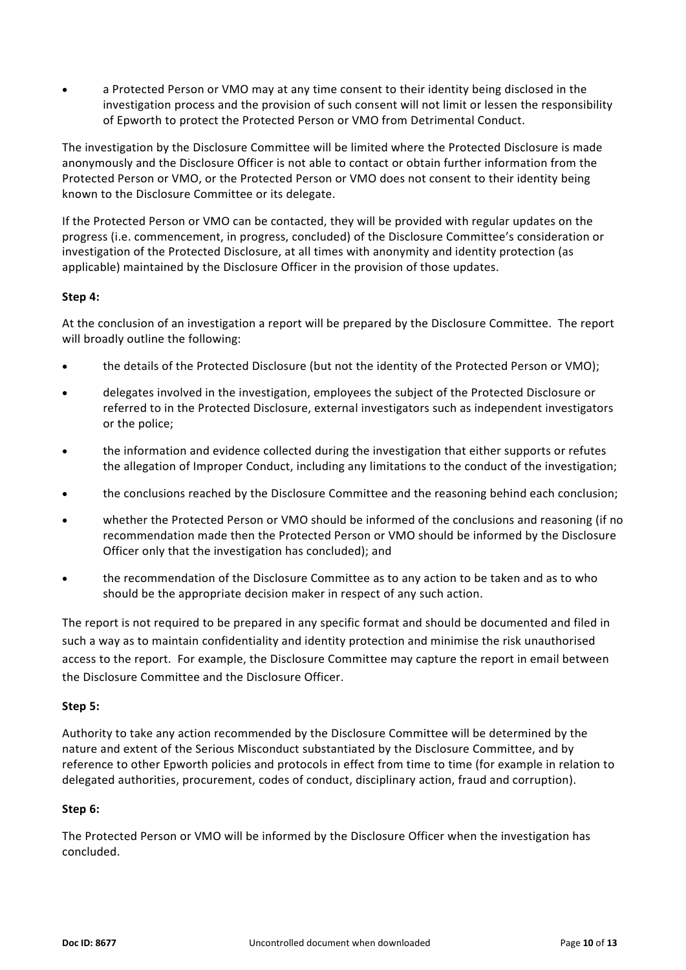• a Protected Person or VMO may at any time consent to their identity being disclosed in the investigation process and the provision of such consent will not limit or lessen the responsibility of Epworth to protect the Protected Person or VMO from Detrimental Conduct.

The investigation by the Disclosure Committee will be limited where the Protected Disclosure is made anonymously and the Disclosure Officer is not able to contact or obtain further information from the Protected Person or VMO, or the Protected Person or VMO does not consent to their identity being known to the Disclosure Committee or its delegate.

If the Protected Person or VMO can be contacted, they will be provided with regular updates on the progress (i.e. commencement, in progress, concluded) of the Disclosure Committee's consideration or investigation of the Protected Disclosure, at all times with anonymity and identity protection (as applicable) maintained by the Disclosure Officer in the provision of those updates.

## **Step 4:**

At the conclusion of an investigation a report will be prepared by the Disclosure Committee. The report will broadly outline the following:

- the details of the Protected Disclosure (but not the identity of the Protected Person or VMO);
- delegates involved in the investigation, employees the subject of the Protected Disclosure or referred to in the Protected Disclosure, external investigators such as independent investigators or the police;
- the information and evidence collected during the investigation that either supports or refutes the allegation of Improper Conduct, including any limitations to the conduct of the investigation;
- the conclusions reached by the Disclosure Committee and the reasoning behind each conclusion;
- whether the Protected Person or VMO should be informed of the conclusions and reasoning (if no recommendation made then the Protected Person or VMO should be informed by the Disclosure Officer only that the investigation has concluded); and
- the recommendation of the Disclosure Committee as to any action to be taken and as to who should be the appropriate decision maker in respect of any such action.

The report is not required to be prepared in any specific format and should be documented and filed in such a way as to maintain confidentiality and identity protection and minimise the risk unauthorised access to the report. For example, the Disclosure Committee may capture the report in email between the Disclosure Committee and the Disclosure Officer.

## **Step 5:**

Authority to take any action recommended by the Disclosure Committee will be determined by the nature and extent of the Serious Misconduct substantiated by the Disclosure Committee, and by reference to other Epworth policies and protocols in effect from time to time (for example in relation to delegated authorities, procurement, codes of conduct, disciplinary action, fraud and corruption).

## **Step 6:**

The Protected Person or VMO will be informed by the Disclosure Officer when the investigation has concluded.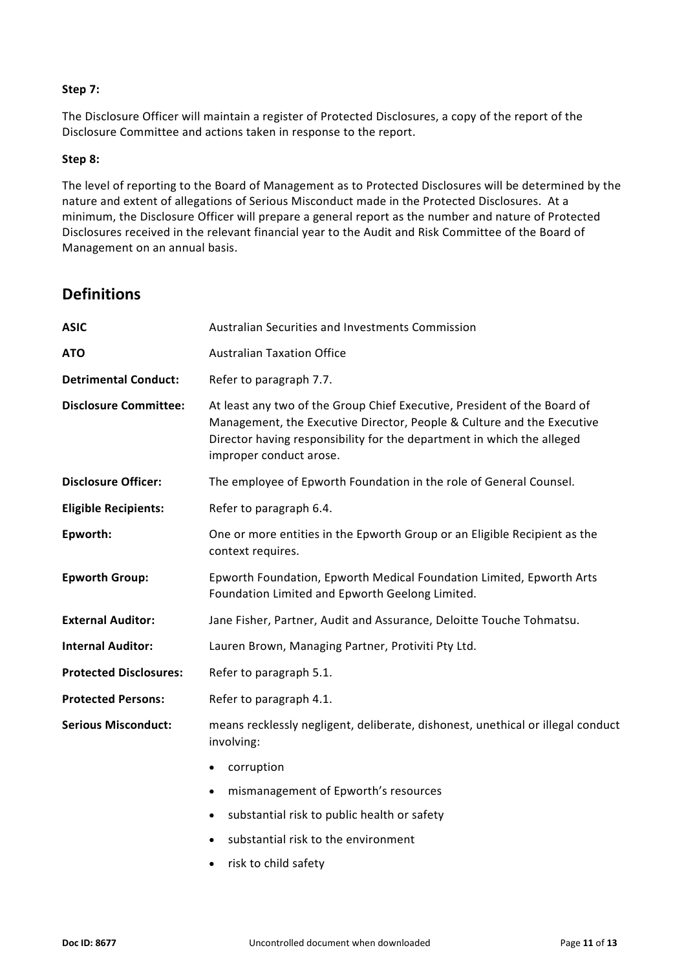#### **Step 7:**

The Disclosure Officer will maintain a register of Protected Disclosures, a copy of the report of the Disclosure Committee and actions taken in response to the report.

#### **Step 8:**

The level of reporting to the Board of Management as to Protected Disclosures will be determined by the nature and extent of allegations of Serious Misconduct made in the Protected Disclosures. At a minimum, the Disclosure Officer will prepare a general report as the number and nature of Protected Disclosures received in the relevant financial year to the Audit and Risk Committee of the Board of Management on an annual basis.

# **Definitions**

| <b>ASIC</b>                   | Australian Securities and Investments Commission                                                                                                                                                                                                        |  |  |  |
|-------------------------------|---------------------------------------------------------------------------------------------------------------------------------------------------------------------------------------------------------------------------------------------------------|--|--|--|
| <b>ATO</b>                    | <b>Australian Taxation Office</b>                                                                                                                                                                                                                       |  |  |  |
| <b>Detrimental Conduct:</b>   | Refer to paragraph 7.7.                                                                                                                                                                                                                                 |  |  |  |
| <b>Disclosure Committee:</b>  | At least any two of the Group Chief Executive, President of the Board of<br>Management, the Executive Director, People & Culture and the Executive<br>Director having responsibility for the department in which the alleged<br>improper conduct arose. |  |  |  |
| <b>Disclosure Officer:</b>    | The employee of Epworth Foundation in the role of General Counsel.                                                                                                                                                                                      |  |  |  |
| <b>Eligible Recipients:</b>   | Refer to paragraph 6.4.                                                                                                                                                                                                                                 |  |  |  |
| Epworth:                      | One or more entities in the Epworth Group or an Eligible Recipient as the<br>context requires.                                                                                                                                                          |  |  |  |
| <b>Epworth Group:</b>         | Epworth Foundation, Epworth Medical Foundation Limited, Epworth Arts<br>Foundation Limited and Epworth Geelong Limited.                                                                                                                                 |  |  |  |
| <b>External Auditor:</b>      | Jane Fisher, Partner, Audit and Assurance, Deloitte Touche Tohmatsu.                                                                                                                                                                                    |  |  |  |
| <b>Internal Auditor:</b>      | Lauren Brown, Managing Partner, Protiviti Pty Ltd.                                                                                                                                                                                                      |  |  |  |
| <b>Protected Disclosures:</b> | Refer to paragraph 5.1.                                                                                                                                                                                                                                 |  |  |  |
| <b>Protected Persons:</b>     | Refer to paragraph 4.1.                                                                                                                                                                                                                                 |  |  |  |
| <b>Serious Misconduct:</b>    | means recklessly negligent, deliberate, dishonest, unethical or illegal conduct<br>involving:                                                                                                                                                           |  |  |  |
|                               | corruption<br>$\bullet$                                                                                                                                                                                                                                 |  |  |  |
|                               | mismanagement of Epworth's resources<br>$\bullet$                                                                                                                                                                                                       |  |  |  |
|                               | substantial risk to public health or safety<br>$\bullet$                                                                                                                                                                                                |  |  |  |
|                               | substantial risk to the environment                                                                                                                                                                                                                     |  |  |  |

• risk to child safety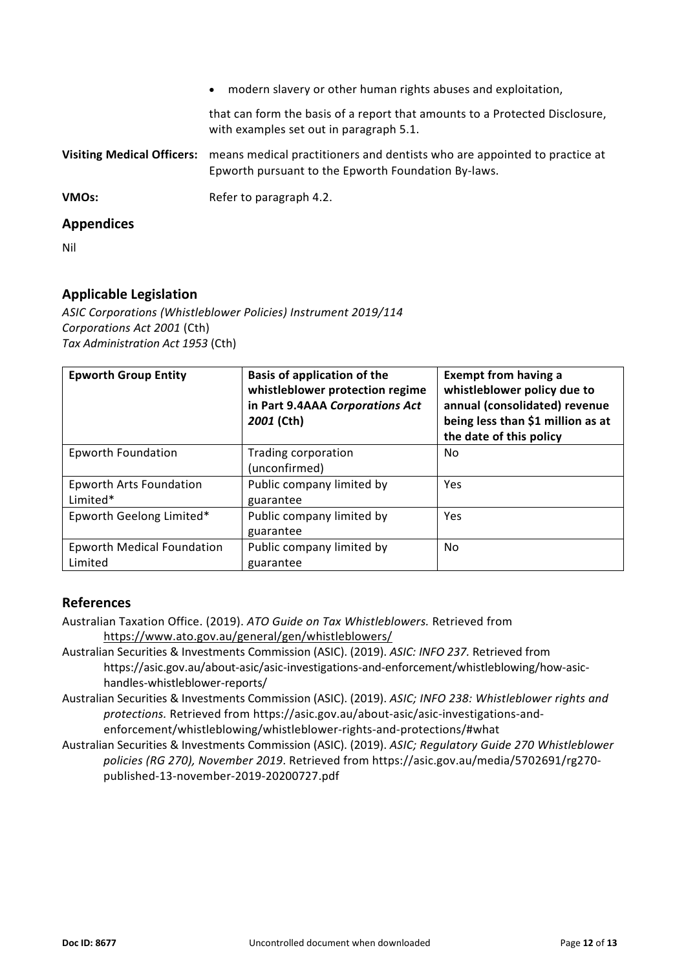| <b>Appendices</b>                 |                                                                                                                                  |
|-----------------------------------|----------------------------------------------------------------------------------------------------------------------------------|
| <b>VMOs:</b>                      | Refer to paragraph 4.2.                                                                                                          |
| <b>Visiting Medical Officers:</b> | means medical practitioners and dentists who are appointed to practice at<br>Epworth pursuant to the Epworth Foundation By-laws. |
|                                   | that can form the basis of a report that amounts to a Protected Disclosure,<br>with examples set out in paragraph 5.1.           |
|                                   | modern slavery or other human rights abuses and exploitation,<br>$\bullet$                                                       |

Nil

# **Applicable Legislation**

*ASIC Corporations (Whistleblower Policies) Instrument 2019/114 Corporations Act 2001* (Cth) *Tax Administration Act 1953* (Cth)

| <b>Epworth Group Entity</b>                  | <b>Basis of application of the</b><br>whistleblower protection regime<br>in Part 9.4AAA Corporations Act<br>2001 (Cth) | <b>Exempt from having a</b><br>whistleblower policy due to<br>annual (consolidated) revenue<br>being less than \$1 million as at<br>the date of this policy |
|----------------------------------------------|------------------------------------------------------------------------------------------------------------------------|-------------------------------------------------------------------------------------------------------------------------------------------------------------|
| <b>Epworth Foundation</b>                    | Trading corporation<br>(unconfirmed)                                                                                   | No.                                                                                                                                                         |
| <b>Epworth Arts Foundation</b><br>Limited*   | Public company limited by<br>guarantee                                                                                 | Yes                                                                                                                                                         |
| Epworth Geelong Limited*                     | Public company limited by<br>guarantee                                                                                 | Yes                                                                                                                                                         |
| <b>Epworth Medical Foundation</b><br>Limited | Public company limited by<br>guarantee                                                                                 | No                                                                                                                                                          |

# **References**

- Australian Taxation Office. (2019). *ATO Guide on Tax Whistleblowers.* Retrieved from <https://www.ato.gov.au/general/gen/whistleblowers/>
- Australian Securities & Investments Commission (ASIC). (2019). *ASIC: INFO 237.* Retrieved from https://asic.gov.au/about-asic/asic-investigations-and-enforcement/whistleblowing/how-asichandles-whistleblower-reports/
- Australian Securities & Investments Commission (ASIC). (2019). *ASIC; INFO 238: Whistleblower rights and protections.* Retrieved from https://asic.gov.au/about-asic/asic-investigations-andenforcement/whistleblowing/whistleblower-rights-and-protections/#what
- Australian Securities & Investments Commission (ASIC). (2019). *ASIC; Regulatory Guide 270 Whistleblower policies [\(RG 270\)](https://asic.gov.au/regulatory-resources/find-a-document/regulatory-guides/rg-270-whistleblower-policies/), November 2019*. Retrieved from https://asic.gov.au/media/5702691/rg270 published-13-november-2019-20200727.pdf